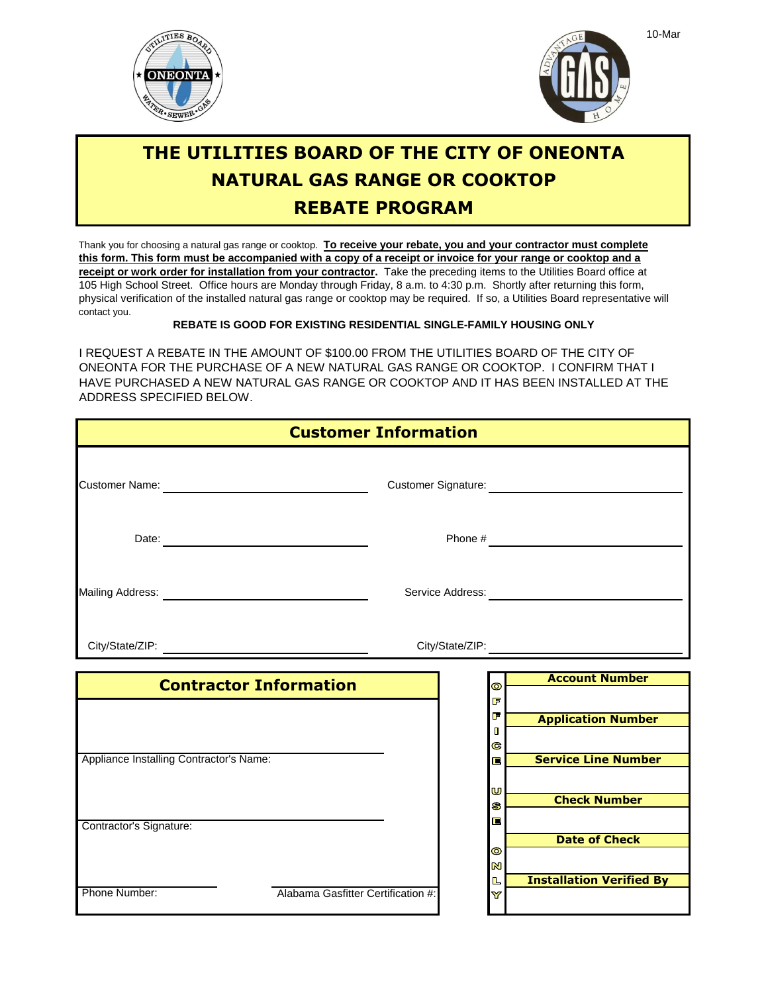



## **THE UTILITIES BOARD OF THE CITY OF ONEONTA NATURAL GAS RANGE OR COOKTOP REBATE PROGRAM**

Thank you for choosing a natural gas range or cooktop. **To receive your rebate, you and your contractor must complete** physical verification of the installed natural gas range or cooktop may be required. If so, a Utilities Board representative will contact you. 105 High School Street. Office hours are Monday through Friday, 8 a.m. to 4:30 p.m. Shortly after returning this form, **receipt or work order for installation from your contractor.** Take the preceding items to the Utilities Board office at **this form. This form must be accompanied with a copy of a receipt or invoice for your range or cooktop and a**

**REBATE IS GOOD FOR EXISTING RESIDENTIAL SINGLE-FAMILY HOUSING ONLY**

ADDRESS SPECIFIED BELOW. I REQUEST A REBATE IN THE AMOUNT OF \$100.00 FROM THE UTILITIES BOARD OF THE CITY OF ONEONTA FOR THE PURCHASE OF A NEW NATURAL GAS RANGE OR COOKTOP. I CONFIRM THAT I HAVE PURCHASED A NEW NATURAL GAS RANGE OR COOKTOP AND IT HAS BEEN INSTALLED AT THE

| <b>Customer Information</b>             |                                    |                             |                                 |
|-----------------------------------------|------------------------------------|-----------------------------|---------------------------------|
|                                         |                                    |                             |                                 |
|                                         |                                    |                             |                                 |
|                                         |                                    |                             |                                 |
|                                         |                                    |                             |                                 |
| <b>Contractor Information</b>           |                                    | $\bullet$<br>F              | <b>Account Number</b>           |
|                                         |                                    | F<br>П<br>G                 | <b>Application Number</b>       |
| Appliance Installing Contractor's Name: |                                    | 巨<br>U                      | <b>Service Line Number</b>      |
| Contractor's Signature:                 |                                    | S<br>E                      | <b>Check Number</b>             |
|                                         |                                    | $\bullet$<br>$\blacksquare$ | <b>Date of Check</b>            |
| Phone Number:                           | Alabama Gasfitter Certification #: | L<br>Y                      | <b>Installation Verified By</b> |